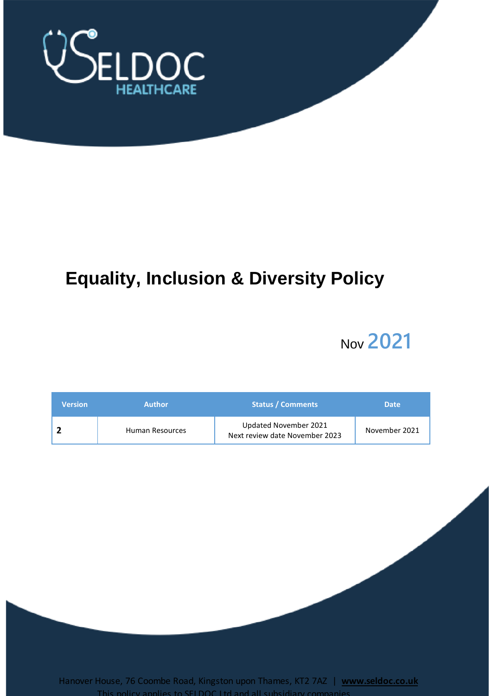

# **Equality, Inclusion & Diversity Policy**

# Nov **2021**

| <b>Version</b> | <b>Author</b>   | <b>Status / Comments</b>                                | <b>Date</b>   |
|----------------|-----------------|---------------------------------------------------------|---------------|
|                | Human Resources | Updated November 2021<br>Next review date November 2023 | November 2021 |

Hanover House, 76 Coombe Road, Kingston upon Thames, KT2 7AZ | **www.seldoc.co.uk** This policy applies to SELDOC Ltd and all sub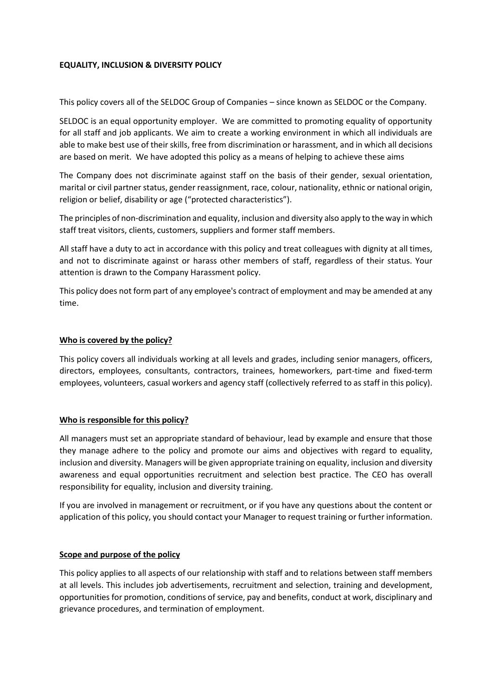## **EQUALITY, INCLUSION & DIVERSITY POLICY**

This policy covers all of the SELDOC Group of Companies – since known as SELDOC or the Company.

SELDOC is an equal opportunity employer. We are committed to promoting equality of opportunity for all staff and job applicants. We aim to create a working environment in which all individuals are able to make best use of their skills, free from discrimination or harassment, and in which all decisions are based on merit. We have adopted this policy as a means of helping to achieve these aims

The Company does not discriminate against staff on the basis of their gender, sexual orientation, marital or civil partner status, gender reassignment, race, colour, nationality, ethnic or national origin, religion or belief, disability or age ("protected characteristics").

The principles of non-discrimination and equality, inclusion and diversity also apply to the way in which staff treat visitors, clients, customers, suppliers and former staff members.

All staff have a duty to act in accordance with this policy and treat colleagues with dignity at all times, and not to discriminate against or harass other members of staff, regardless of their status. Your attention is drawn to the Company Harassment policy.

This policy does not form part of any employee's contract of employment and may be amended at any time.

#### **Who is covered by the policy?**

This policy covers all individuals working at all levels and grades, including senior managers, officers, directors, employees, consultants, contractors, trainees, homeworkers, part-time and fixed-term employees, volunteers, casual workers and agency staff (collectively referred to as staff in this policy).

## **Who is responsible for this policy?**

All managers must set an appropriate standard of behaviour, lead by example and ensure that those they manage adhere to the policy and promote our aims and objectives with regard to equality, inclusion and diversity. Managers will be given appropriate training on equality, inclusion and diversity awareness and equal opportunities recruitment and selection best practice. The CEO has overall responsibility for equality, inclusion and diversity training.

If you are involved in management or recruitment, or if you have any questions about the content or application of this policy, you should contact your Manager to request training or further information.

#### **Scope and purpose of the policy**

This policy applies to all aspects of our relationship with staff and to relations between staff members at all levels. This includes job advertisements, recruitment and selection, training and development, opportunities for promotion, conditions of service, pay and benefits, conduct at work, disciplinary and grievance procedures, and termination of employment.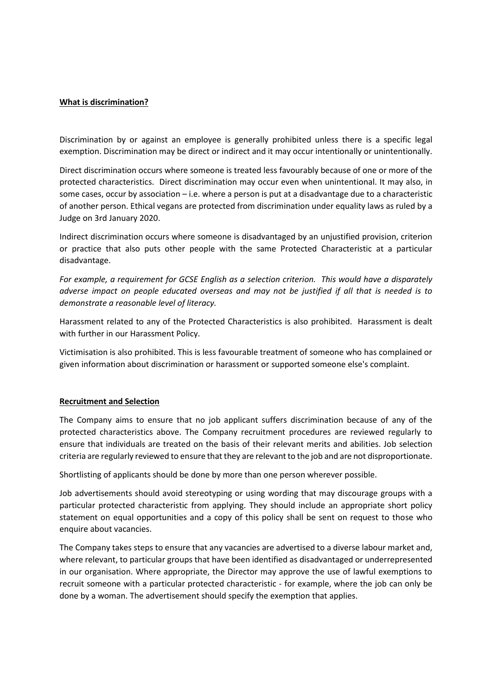## **What is discrimination?**

Discrimination by or against an employee is generally prohibited unless there is a specific legal exemption. Discrimination may be direct or indirect and it may occur intentionally or unintentionally.

Direct discrimination occurs where someone is treated less favourably because of one or more of the protected characteristics. Direct discrimination may occur even when unintentional. It may also, in some cases, occur by association – i.e. where a person is put at a disadvantage due to a characteristic of another person. Ethical vegans are protected from discrimination under equality laws as ruled by a Judge on 3rd January 2020.

Indirect discrimination occurs where someone is disadvantaged by an unjustified provision, criterion or practice that also puts other people with the same Protected Characteristic at a particular disadvantage.

*For example, a requirement for GCSE English as a selection criterion. This would have a disparately adverse impact on people educated overseas and may not be justified if all that is needed is to demonstrate a reasonable level of literacy.*

Harassment related to any of the Protected Characteristics is also prohibited. Harassment is dealt with further in our Harassment Policy.

Victimisation is also prohibited. This is less favourable treatment of someone who has complained or given information about discrimination or harassment or supported someone else's complaint.

#### **Recruitment and Selection**

The Company aims to ensure that no job applicant suffers discrimination because of any of the protected characteristics above. The Company recruitment procedures are reviewed regularly to ensure that individuals are treated on the basis of their relevant merits and abilities. Job selection criteria are regularly reviewed to ensure that they are relevant to the job and are not disproportionate.

Shortlisting of applicants should be done by more than one person wherever possible.

Job advertisements should avoid stereotyping or using wording that may discourage groups with a particular protected characteristic from applying. They should include an appropriate short policy statement on equal opportunities and a copy of this policy shall be sent on request to those who enquire about vacancies.

The Company takes steps to ensure that any vacancies are advertised to a diverse labour market and, where relevant, to particular groups that have been identified as disadvantaged or underrepresented in our organisation. Where appropriate, the Director may approve the use of lawful exemptions to recruit someone with a particular protected characteristic - for example, where the job can only be done by a woman. The advertisement should specify the exemption that applies.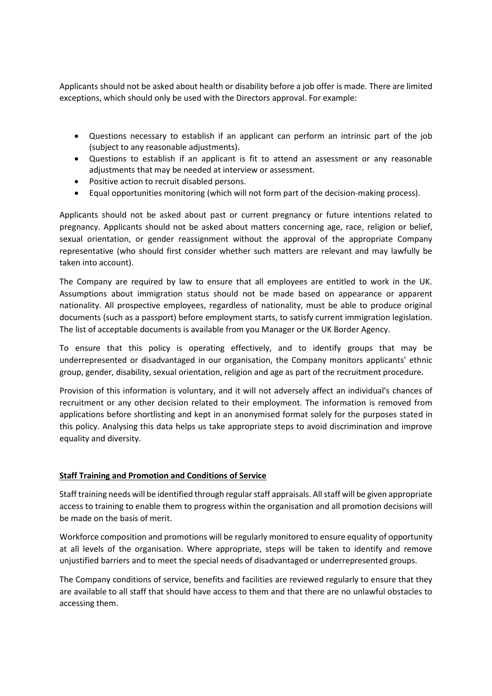Applicants should not be asked about health or disability before a job offer is made. There are limited exceptions, which should only be used with the Directors approval. For example:

- Questions necessary to establish if an applicant can perform an intrinsic part of the job (subject to any reasonable adjustments).
- Questions to establish if an applicant is fit to attend an assessment or any reasonable adjustments that may be needed at interview or assessment.
- Positive action to recruit disabled persons.
- Equal opportunities monitoring (which will not form part of the decision-making process).

Applicants should not be asked about past or current pregnancy or future intentions related to pregnancy. Applicants should not be asked about matters concerning age, race, religion or belief, sexual orientation, or gender reassignment without the approval of the appropriate Company representative (who should first consider whether such matters are relevant and may lawfully be taken into account).

The Company are required by law to ensure that all employees are entitled to work in the UK. Assumptions about immigration status should not be made based on appearance or apparent nationality. All prospective employees, regardless of nationality, must be able to produce original documents (such as a passport) before employment starts, to satisfy current immigration legislation. The list of acceptable documents is available from you Manager or the UK Border Agency.

To ensure that this policy is operating effectively, and to identify groups that may be underrepresented or disadvantaged in our organisation, the Company monitors applicants' ethnic group, gender, disability, sexual orientation, religion and age as part of the recruitment procedure.

Provision of this information is voluntary, and it will not adversely affect an individual's chances of recruitment or any other decision related to their employment. The information is removed from applications before shortlisting and kept in an anonymised format solely for the purposes stated in this policy. Analysing this data helps us take appropriate steps to avoid discrimination and improve equality and diversity.

# **Staff Training and Promotion and Conditions of Service**

Staff training needs will be identified through regular staff appraisals. All staff will be given appropriate access to training to enable them to progress within the organisation and all promotion decisions will be made on the basis of merit.

Workforce composition and promotions will be regularly monitored to ensure equality of opportunity at all levels of the organisation. Where appropriate, steps will be taken to identify and remove unjustified barriers and to meet the special needs of disadvantaged or underrepresented groups.

The Company conditions of service, benefits and facilities are reviewed regularly to ensure that they are available to all staff that should have access to them and that there are no unlawful obstacles to accessing them.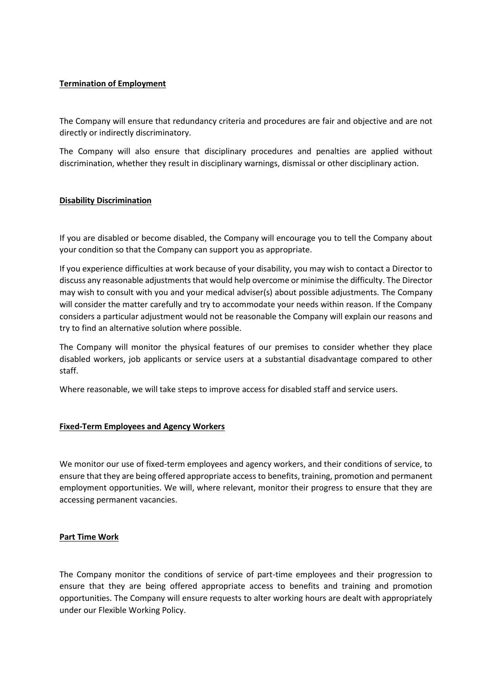# **Termination of Employment**

The Company will ensure that redundancy criteria and procedures are fair and objective and are not directly or indirectly discriminatory.

The Company will also ensure that disciplinary procedures and penalties are applied without discrimination, whether they result in disciplinary warnings, dismissal or other disciplinary action.

# **Disability Discrimination**

If you are disabled or become disabled, the Company will encourage you to tell the Company about your condition so that the Company can support you as appropriate.

If you experience difficulties at work because of your disability, you may wish to contact a Director to discuss any reasonable adjustments that would help overcome or minimise the difficulty. The Director may wish to consult with you and your medical adviser(s) about possible adjustments. The Company will consider the matter carefully and try to accommodate your needs within reason. If the Company considers a particular adjustment would not be reasonable the Company will explain our reasons and try to find an alternative solution where possible.

The Company will monitor the physical features of our premises to consider whether they place disabled workers, job applicants or service users at a substantial disadvantage compared to other staff.

Where reasonable, we will take steps to improve access for disabled staff and service users.

## **Fixed-Term Employees and Agency Workers**

We monitor our use of fixed-term employees and agency workers, and their conditions of service, to ensure that they are being offered appropriate access to benefits, training, promotion and permanent employment opportunities. We will, where relevant, monitor their progress to ensure that they are accessing permanent vacancies.

## **Part Time Work**

The Company monitor the conditions of service of part-time employees and their progression to ensure that they are being offered appropriate access to benefits and training and promotion opportunities. The Company will ensure requests to alter working hours are dealt with appropriately under our Flexible Working Policy.